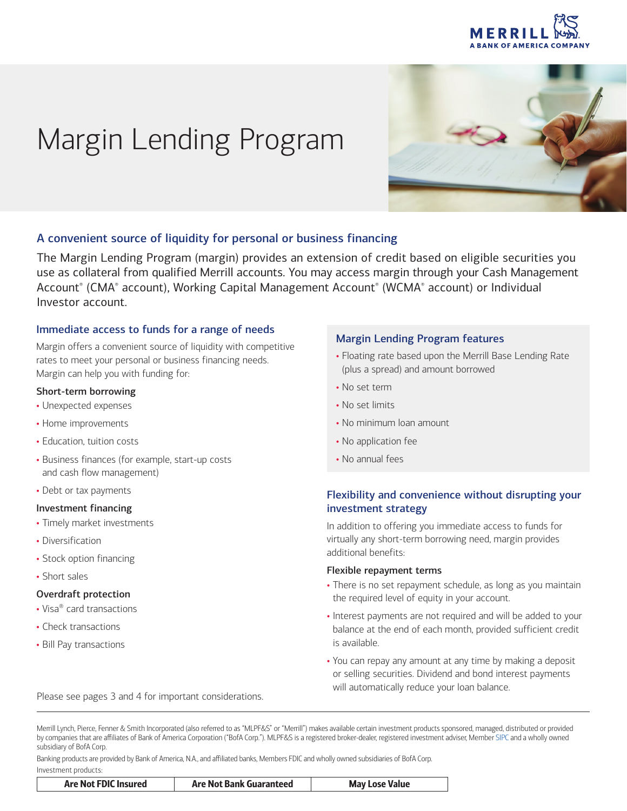

# Margin Lending Program



# A convenient source of liquidity for personal or business financing

The Margin Lending Program (margin) provides an extension of credit based on eligible securities you use as collateral from qualified Merrill accounts. You may access margin through your Cash Management Account® (CMA® account), Working Capital Management Account® (WCMA® account) or Individual Investor account.

# Immediate access to funds for a range of needs

Margin offers a convenient source of liquidity with competitive rates to meet your personal or business financing needs. Margin can help you with funding for:

## Short-term borrowing

- Unexpected expenses
- Home improvements
- Education, tuition costs
- Business finances (for example, start-up costs and cash flow management)
- Debt or tax payments

## Investment financing

- Timely market investments
- Diversification
- Stock option financing
- Short sales

## Overdraft protection

- Visa® card transactions
- Check transactions
- Bill Pay transactions

## Margin Lending Program features

- Floating rate based upon the Merrill Base Lending Rate (plus a spread) and amount borrowed
- No set term
- No set limits
- No minimum loan amount
- No application fee
- No annual fees

# Flexibility and convenience without disrupting your investment strategy

In addition to offering you immediate access to funds for virtually any short-term borrowing need, margin provides additional benefits:

## Flexible repayment terms

- There is no set repayment schedule, as long as you maintain the required level of equity in your account.
- Interest payments are not required and will be added to your balance at the end of each month, provided sufficient credit is available.
- You can repay any amount at any time by making a deposit or selling securities. Dividend and bond interest payments will automatically reduce your loan balance. Please see pages 3 and 4 for important considerations.

Merrill Lynch, Pierce, Fenner & Smith Incorporated (also referred to as "MLPF&S" or "Merrill") makes available certain investment products sponsored, managed, distributed or provided by companies that are affiliates of Bank of America Corporation ("BofA Corp."). MLPF&S is a registered broker-dealer, registered investment adviser, Member [SIPC](http://www.SIPC.org) and a wholly owned subsidiary of BofA Corp.

Banking products are provided by Bank of America, N.A., and affiliated banks, Members FDIC and wholly owned subsidiaries of BofA Corp. Investment products:

| Are Not FDIC Insured | Are Not Bank Guaranteed | <b>May Lose Value</b> |
|----------------------|-------------------------|-----------------------|
|----------------------|-------------------------|-----------------------|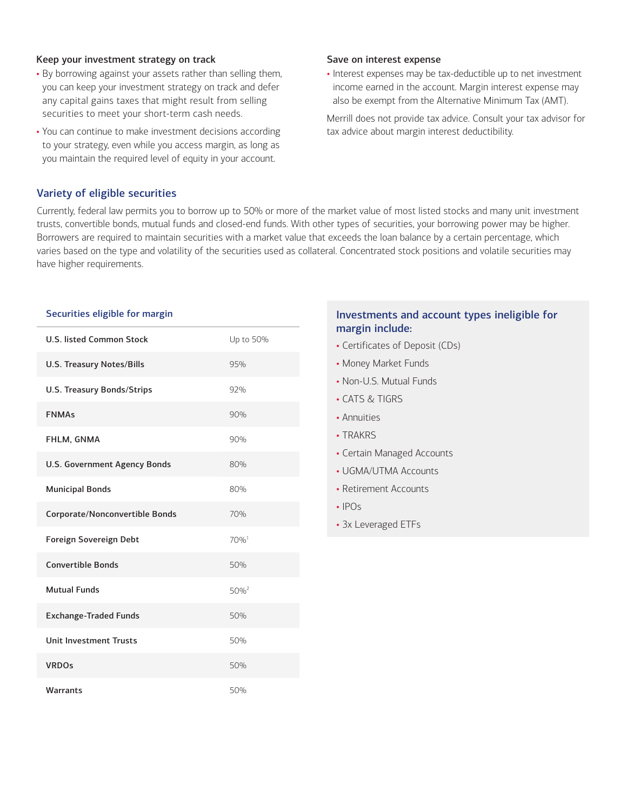## Keep your investment strategy on track

- By borrowing against your assets rather than selling them, you can keep your investment strategy on track and defer any capital gains taxes that might result from selling securities to meet your short-term cash needs.
- You can continue to make investment decisions according to your strategy, even while you access margin, as long as you maintain the required level of equity in your account.

#### Save on interest expense

• Interest expenses may be tax-deductible up to net investment income earned in the account. Margin interest expense may also be exempt from the Alternative Minimum Tax (AMT).

Merrill does not provide tax advice. Consult your tax advisor for tax advice about margin interest deductibility.

# Variety of eligible securities

Currently, federal law permits you to borrow up to 50% or more of the market value of most listed stocks and many unit investment trusts, convertible bonds, mutual funds and closed-end funds. With other types of securities, your borrowing power may be higher. Borrowers are required to maintain securities with a market value that exceeds the loan balance by a certain percentage, which varies based on the type and volatility of the securities used as collateral. Concentrated stock positions and volatile securities may have higher requirements.

#### Securities eligible for margin

| <b>U.S. listed Common Stock</b> | Up to 50%          |
|---------------------------------|--------------------|
| U.S. Treasury Notes/Bills       | 95%                |
| U.S. Treasury Bonds/Strips      | 92%                |
| <b>FNMAs</b>                    | 90%                |
| FHLM, GNMA                      | 90%                |
| U.S. Government Agency Bonds    | 80%                |
| <b>Municipal Bonds</b>          | 80%                |
| Corporate/Nonconvertible Bonds  | 70%                |
| Foreign Sovereign Debt          | $70%$ <sup>1</sup> |
| <b>Convertible Bonds</b>        | 50%                |
| <b>Mutual Funds</b>             | $50%^{2}$          |
| <b>Exchange-Traded Funds</b>    | 50%                |
| <b>Unit Investment Trusts</b>   | 50%                |
| <b>VRDO<sub>S</sub></b>         | 50%                |
| <b>Warrants</b>                 | 50%                |

# Investments and account types ineligible for margin include:

- Certificates of Deposit (CDs)
- Money Market Funds
- Non-U.S. Mutual Funds
- CATS & TIGRS
- Annuities
- TRAKRS
- Certain Managed Accounts
- UGMA/UTMA Accounts
- Retirement Accounts
- $\cdot$  IPOs
- 3x Leveraged ETFs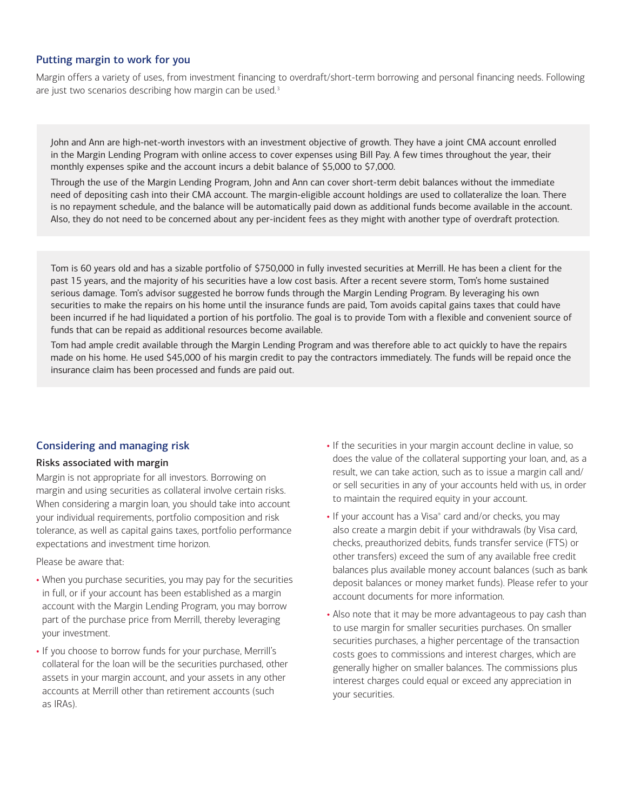# Putting margin to work for you

Margin offers a variety of uses, from investment financing to overdraft/short-term borrowing and personal financing needs. Following are just two scenarios describing how margin can be used.<sup>[3](#page-3-2)</sup>

John and Ann are high-net-worth investors with an investment objective of growth. They have a joint CMA account enrolled in the Margin Lending Program with online access to cover expenses using Bill Pay. A few times throughout the year, their monthly expenses spike and the account incurs a debit balance of \$5,000 to \$7,000.

Through the use of the Margin Lending Program, John and Ann can cover short-term debit balances without the immediate need of depositing cash into their CMA account. The margin-eligible account holdings are used to collateralize the loan. There is no repayment schedule, and the balance will be automatically paid down as additional funds become available in the account. Also, they do not need to be concerned about any per-incident fees as they might with another type of overdraft protection.

Tom is 60 years old and has a sizable portfolio of \$750,000 in fully invested securities at Merrill. He has been a client for the past 15 years, and the majority of his securities have a low cost basis. After a recent severe storm, Tom's home sustained serious damage. Tom's advisor suggested he borrow funds through the Margin Lending Program. By leveraging his own securities to make the repairs on his home until the insurance funds are paid, Tom avoids capital gains taxes that could have been incurred if he had liquidated a portion of his portfolio. The goal is to provide Tom with a flexible and convenient source of funds that can be repaid as additional resources become available.

Tom had ample credit available through the Margin Lending Program and was therefore able to act quickly to have the repairs made on his home. He used \$45,000 of his margin credit to pay the contractors immediately. The funds will be repaid once the insurance claim has been processed and funds are paid out.

# Considering and managing risk

## Risks associated with margin

Margin is not appropriate for all investors. Borrowing on margin and using securities as collateral involve certain risks. When considering a margin loan, you should take into account your individual requirements, portfolio composition and risk tolerance, as well as capital gains taxes, portfolio performance expectations and investment time horizon.

Please be aware that:

- When you purchase securities, you may pay for the securities in full, or if your account has been established as a margin account with the Margin Lending Program, you may borrow part of the purchase price from Merrill, thereby leveraging your investment.
- If you choose to borrow funds for your purchase, Merrill's collateral for the loan will be the securities purchased, other assets in your margin account, and your assets in any other accounts at Merrill other than retirement accounts (such as IRAs).
- If the securities in your margin account decline in value, so does the value of the collateral supporting your loan, and, as a result, we can take action, such as to issue a margin call and/ or sell securities in any of your accounts held with us, in order to maintain the required equity in your account.
- If your account has a Visa<sup>®</sup> card and/or checks, you may also create a margin debit if your withdrawals (by Visa card, checks, preauthorized debits, funds transfer service (FTS) or other transfers) exceed the sum of any available free credit balances plus available money account balances (such as bank deposit balances or money market funds). Please refer to your account documents for more information.
- Also note that it may be more advantageous to pay cash than to use margin for smaller securities purchases. On smaller securities purchases, a higher percentage of the transaction costs goes to commissions and interest charges, which are generally higher on smaller balances. The commissions plus interest charges could equal or exceed any appreciation in your securities.